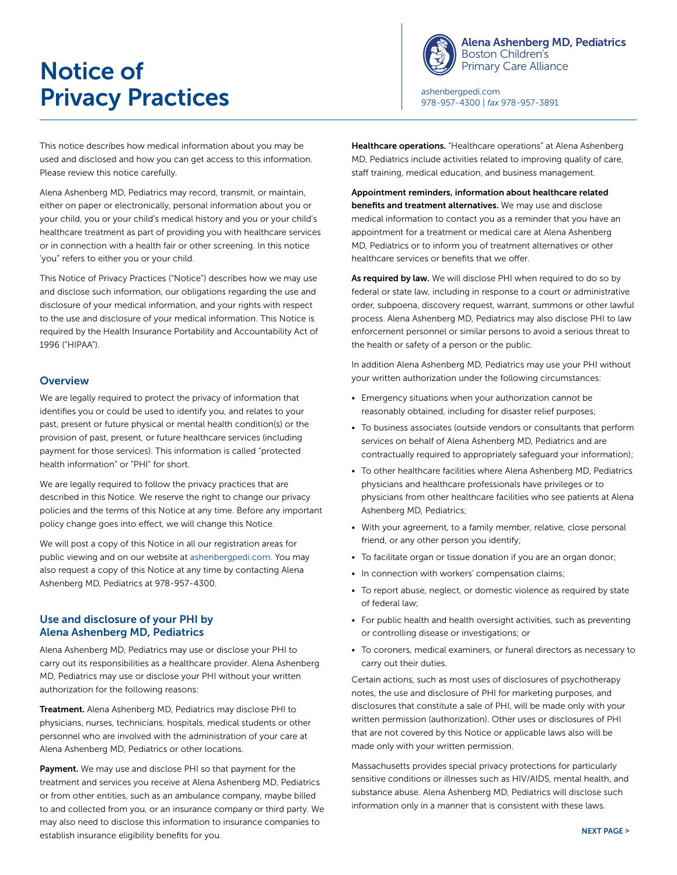# Notice of **Privacy Practices** [ashenbergpedi.com](http://www.ashenbergpedi.com)



[Alena Ashenberg MD, Pediatrics](http://www.ashenbergpedi.com) Boston Children's Primary Care Alliance

978-957-4300 | *fax* 978-957-3891

This notice describes how medical information about you may be used and disclosed and how you can get access to this information. Please review this notice carefully.

Alena Ashenberg MD, Pediatrics may record, transmit, or maintain, either on paper or electronically, personal information about you or your child, you or your child's medical history and you or your child's healthcare treatment as part of providing you with healthcare services or in connection with a health fair or other screening. In this notice 'you" refers to either you or your child.

This Notice of Privacy Practices ("Notice") describes how we may use and disclose such information, our obligations regarding the use and disclosure of your medical information, and your rights with respect to the use and disclosure of your medical information. This Notice is required by the Health Insurance Portability and Accountability Act of 1996 ("HIPAA").

#### **Overview**

We are legally required to protect the privacy of information that identifies you or could be used to identify you, and relates to your past, present or future physical or mental health condition(s) or the provision of past, present, or future healthcare services (including payment for those services). This information is called "protected health information" or "PHI" for short.

We are legally required to follow the privacy practices that are described in this Notice. We reserve the right to change our privacy policies and the terms of this Notice at any time. Before any important policy change goes into effect, we will change this Notice.

We will post a copy of this Notice in all our registration areas for public viewing and on our website at [ashenbergpedi.com.](http://www.ashenbergpedi.com) You may also request a copy of this Notice at any time by contacting Alena Ashenberg MD, Pediatrics at 978-957-4300.

# Use and disclosure of your PHI by Alena Ashenberg MD, Pediatrics

Alena Ashenberg MD, Pediatrics may use or disclose your PHI to carry out its responsibilities as a healthcare provider. Alena Ashenberg MD, Pediatrics may use or disclose your PHI without your written authorization for the following reasons:

Treatment. Alena Ashenberg MD, Pediatrics may disclose PHI to physicians, nurses, technicians, hospitals, medical students or other personnel who are involved with the administration of your care at Alena Ashenberg MD, Pediatrics or other locations.

Payment. We may use and disclose PHI so that payment for the treatment and services you receive at Alena Ashenberg MD, Pediatrics or from other entities, such as an ambulance company, maybe billed to and collected from you, or an insurance company or third party. We may also need to disclose this information to insurance companies to establish insurance eligibility benefits for you.

Healthcare operations. "Healthcare operations" at Alena Ashenberg MD, Pediatrics include activities related to improving quality of care, staff training, medical education, and business management.

Appointment reminders, information about healthcare related benefits and treatment alternatives. We may use and disclose medical information to contact you as a reminder that you have an appointment for a treatment or medical care at Alena Ashenberg MD, Pediatrics or to inform you of treatment alternatives or other healthcare services or benefits that we offer.

As required by law. We will disclose PHI when required to do so by federal or state law, including in response to a court or administrative order, subpoena, discovery request, warrant, summons or other lawful process. Alena Ashenberg MD, Pediatrics may also disclose PHI to law enforcement personnel or similar persons to avoid a serious threat to the health or safety of a person or the public.

In addition Alena Ashenberg MD, Pediatrics may use your PHI without your written authorization under the following circumstances:

- Emergency situations when your authorization cannot be reasonably obtained, including for disaster relief purposes;
- To business associates (outside vendors or consultants that perform services on behalf of Alena Ashenberg MD, Pediatrics and are contractually required to appropriately safeguard your information);
- To other healthcare facilities where Alena Ashenberg MD, Pediatrics physicians and healthcare professionals have privileges or to physicians from other healthcare facilities who see patients at Alena Ashenberg MD, Pediatrics;
- With your agreement, to a family member, relative, close personal friend, or any other person you identify;
- To facilitate organ or tissue donation if you are an organ donor;
- In connection with workers' compensation claims;
- To report abuse, neglect, or domestic violence as required by state of federal law;
- For public health and health oversight activities, such as preventing or controlling disease or investigations; or
- To coroners, medical examiners, or funeral directors as necessary to carry out their duties.

Certain actions, such as most uses of disclosures of psychotherapy notes, the use and disclosure of PHI for marketing purposes, and disclosures that constitute a sale of PHI, will be made only with your written permission (authorization). Other uses or disclosures of PHI that are not covered by this Notice or applicable laws also will be made only with your written permission.

Massachusetts provides special privacy protections for particularly sensitive conditions or illnesses such as HIV/AIDS, mental health, and substance abuse. Alena Ashenberg MD, Pediatrics will disclose such information only in a manner that is consistent with these laws.